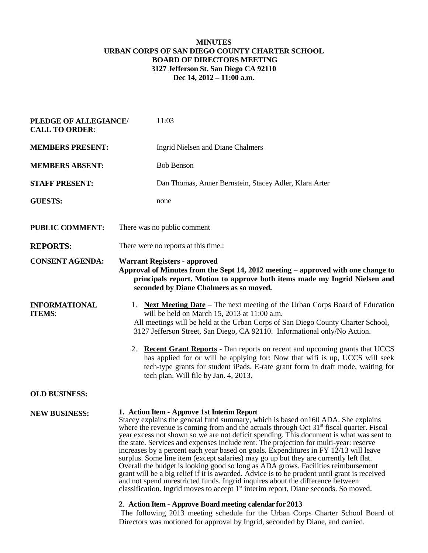## **MINUTES URBAN CORPS OF SAN DIEGO COUNTY CHARTER SCHOOL BOARD OF DIRECTORS MEETING 3127 Jefferson St. San Diego CA 92110 Dec 14, 2012 – 11:00 a.m.**

| PLEDGE OF ALLEGIANCE/<br><b>CALL TO ORDER:</b> | 11:03                                                                                                                                                                                                                                                                                                                                                                                                                                                                                                                                                                                                                                                                                                                                                                                                                                                                                                                                                                         |
|------------------------------------------------|-------------------------------------------------------------------------------------------------------------------------------------------------------------------------------------------------------------------------------------------------------------------------------------------------------------------------------------------------------------------------------------------------------------------------------------------------------------------------------------------------------------------------------------------------------------------------------------------------------------------------------------------------------------------------------------------------------------------------------------------------------------------------------------------------------------------------------------------------------------------------------------------------------------------------------------------------------------------------------|
| <b>MEMBERS PRESENT:</b>                        | Ingrid Nielsen and Diane Chalmers                                                                                                                                                                                                                                                                                                                                                                                                                                                                                                                                                                                                                                                                                                                                                                                                                                                                                                                                             |
| <b>MEMBERS ABSENT:</b>                         | <b>Bob Benson</b>                                                                                                                                                                                                                                                                                                                                                                                                                                                                                                                                                                                                                                                                                                                                                                                                                                                                                                                                                             |
| <b>STAFF PRESENT:</b>                          | Dan Thomas, Anner Bernstein, Stacey Adler, Klara Arter                                                                                                                                                                                                                                                                                                                                                                                                                                                                                                                                                                                                                                                                                                                                                                                                                                                                                                                        |
| <b>GUESTS:</b>                                 | none                                                                                                                                                                                                                                                                                                                                                                                                                                                                                                                                                                                                                                                                                                                                                                                                                                                                                                                                                                          |
| <b>PUBLIC COMMENT:</b>                         | There was no public comment                                                                                                                                                                                                                                                                                                                                                                                                                                                                                                                                                                                                                                                                                                                                                                                                                                                                                                                                                   |
| <b>REPORTS:</b>                                | There were no reports at this time.:                                                                                                                                                                                                                                                                                                                                                                                                                                                                                                                                                                                                                                                                                                                                                                                                                                                                                                                                          |
| <b>CONSENT AGENDA:</b>                         | <b>Warrant Registers - approved</b><br>Approval of Minutes from the Sept 14, 2012 meeting – approved with one change to<br>principals report. Motion to approve both items made my Ingrid Nielsen and<br>seconded by Diane Chalmers as so moved.                                                                                                                                                                                                                                                                                                                                                                                                                                                                                                                                                                                                                                                                                                                              |
| <b>INFORMATIONAL</b><br><b>ITEMS:</b>          | 1. Next Meeting Date – The next meeting of the Urban Corps Board of Education<br>will be held on March 15, 2013 at 11:00 a.m.<br>All meetings will be held at the Urban Corps of San Diego County Charter School,<br>3127 Jefferson Street, San Diego, CA 92110. Informational only/No Action.<br>2. <b>Recent Grant Reports</b> - Dan reports on recent and upcoming grants that UCCS<br>has applied for or will be applying for: Now that wifi is up, UCCS will seek<br>tech-type grants for student iPads. E-rate grant form in draft mode, waiting for<br>tech plan. Will file by Jan. 4, 2013.                                                                                                                                                                                                                                                                                                                                                                           |
| <b>OLD BUSINESS:</b>                           |                                                                                                                                                                                                                                                                                                                                                                                                                                                                                                                                                                                                                                                                                                                                                                                                                                                                                                                                                                               |
| <b>NEW BUSINESS:</b>                           | 1. Action Item - Approve 1st Interim Report<br>Stacey explains the general fund summary, which is based on 160 ADA. She explains<br>where the revenue is coming from and the actuals through Oct $31st$ fiscal quarter. Fiscal<br>year excess not shown so we are not deficit spending. This document is what was sent to<br>the state. Services and expenses include rent. The projection for multi-year: reserve<br>increases by a percent each year based on goals. Expenditures in FY 12/13 will leave<br>surplus. Some line item (except salaries) may go up but they are currently left flat.<br>Overall the budget is looking good so long as ADA grows. Facilities reimbursement<br>grant will be a big relief if it is awarded. Advice is to be prudent until grant is received<br>and not spend unrestricted funds. Ingrid inquires about the difference between<br>classification. Ingrid moves to accept 1 <sup>st</sup> interim report, Diane seconds. So moved. |
|                                                | 2. Action Item - Approve Board meeting calendar for 2013                                                                                                                                                                                                                                                                                                                                                                                                                                                                                                                                                                                                                                                                                                                                                                                                                                                                                                                      |

The following 2013 meeting schedule for the Urban Corps Charter School Board of Directors was motioned for approval by Ingrid, seconded by Diane, and carried.